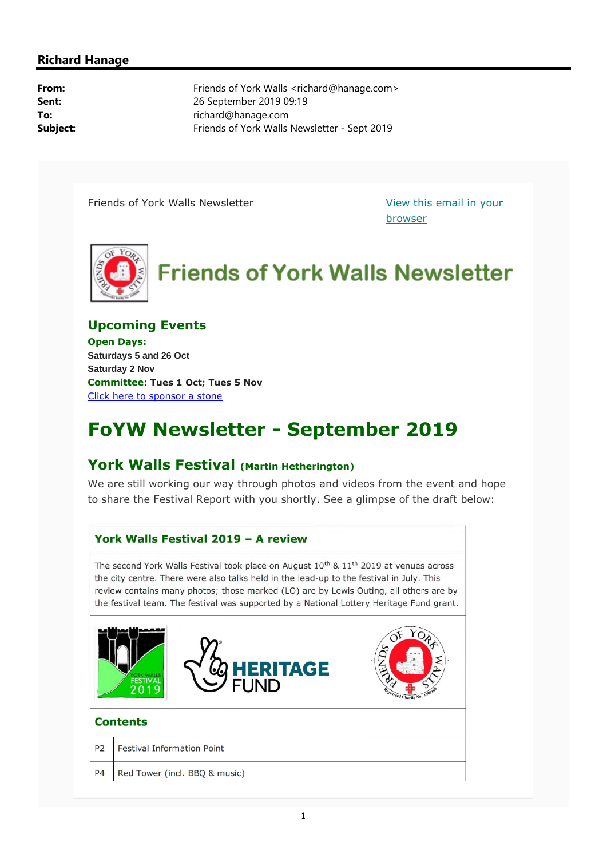#### **Richard Hanage**

**From:** Friends of York Walls <richard@hanage.com> **Sent:** 26 September 2019 09:19 **To:** richard@hanage.com **Subject:** Friends of York Walls Newsletter - Sept 2019

Friends of York Walls Newsletter The Million of View this email in your

browser



#### **Upcoming Events**

**Open Days: Saturdays 5 and 26 Oct Saturday 2 Nov Committee: Tues 1 Oct; Tues 5 Nov** Click here to sponsor a stone

# **FoYW Newsletter - September 2019**

#### **York Walls Festival (Martin Hetherington)**

We are still working our way through photos and videos from the event and hope to share the Festival Report with you shortly. See a glimpse of the draft below:

# York Walls Festival 2019 - A review The second York Walls Festival took place on August  $10^{th}$  &  $11^{th}$  2019 at venues across the city centre. There were also talks held in the lead-up to the festival in July. This review contains many photos; those marked (LO) are by Lewis Outing, all others are by the festival team. The festival was supported by a National Lottery Heritage Fund grant. **TAGE Contents** P<sub>2</sub> **Festival Information Point P4** Red Tower (incl. BBQ & music)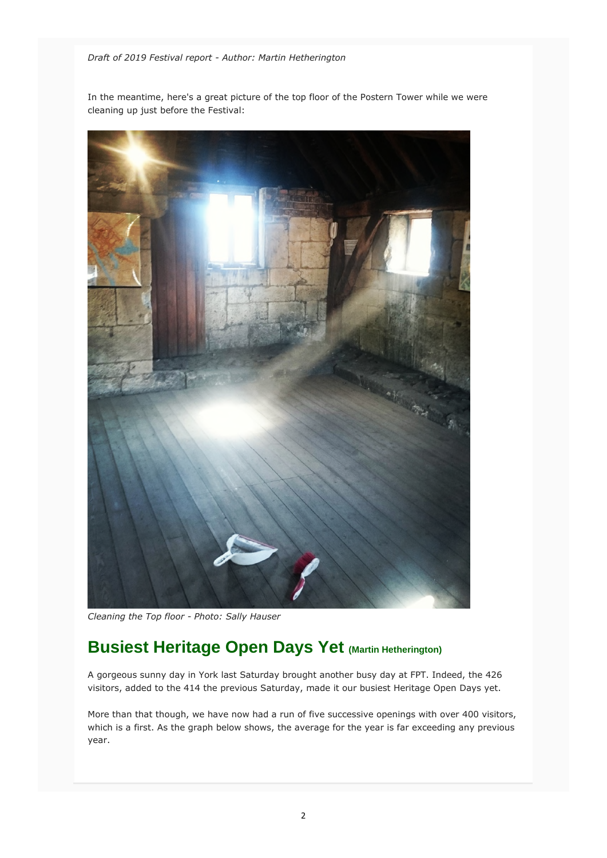*Draft of 2019 Festival report - Author: Martin Hetherington*

In the meantime, here's a great picture of the top floor of the Postern Tower while we were cleaning up just before the Festival:



*Cleaning the Top floor - Photo: Sally Hauser*

# **Busiest Heritage Open Days Yet (Martin Hetherington)**

A gorgeous sunny day in York last Saturday brought another busy day at FPT. Indeed, the 426 visitors, added to the 414 the previous Saturday, made it our busiest Heritage Open Days yet.

More than that though, we have now had a run of five successive openings with over 400 visitors, which is a first. As the graph below shows, the average for the year is far exceeding any previous year.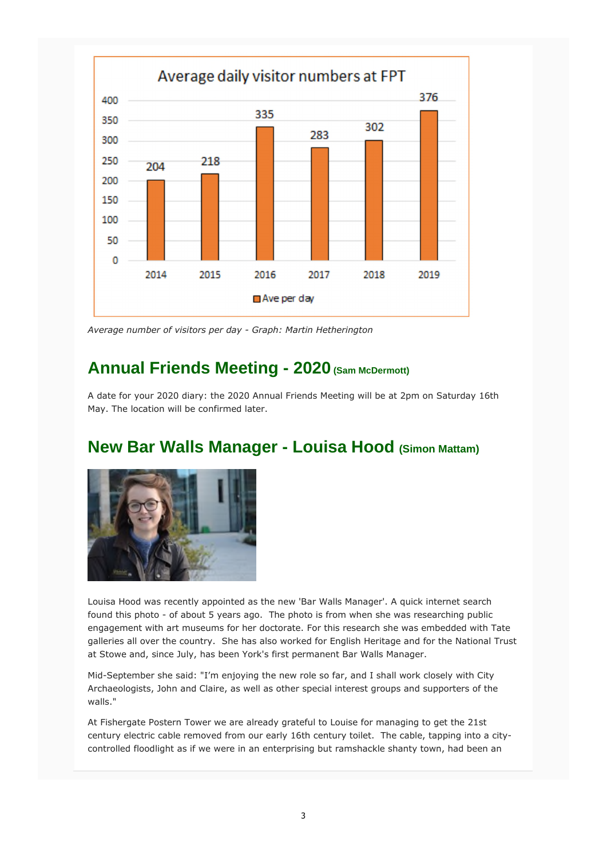

*Average number of visitors per day - Graph: Martin Hetherington*

## **Annual Friends Meeting - 2020 (Sam McDermott)**

A date for your 2020 diary: the 2020 Annual Friends Meeting will be at 2pm on Saturday 16th May. The location will be confirmed later.

## **New Bar Walls Manager - Louisa Hood (Simon Mattam)**



Louisa Hood was recently appointed as the new 'Bar Walls Manager'. A quick internet search found this photo - of about 5 years ago. The photo is from when she was researching public engagement with art museums for her doctorate. For this research she was embedded with Tate galleries all over the country. She has also worked for English Heritage and for the National Trust at Stowe and, since July, has been York's first permanent Bar Walls Manager.

Mid-September she said: "I'm enjoying the new role so far, and I shall work closely with City Archaeologists, John and Claire, as well as other special interest groups and supporters of the walls."

At Fishergate Postern Tower we are already grateful to Louise for managing to get the 21st century electric cable removed from our early 16th century toilet. The cable, tapping into a citycontrolled floodlight as if we were in an enterprising but ramshackle shanty town, had been an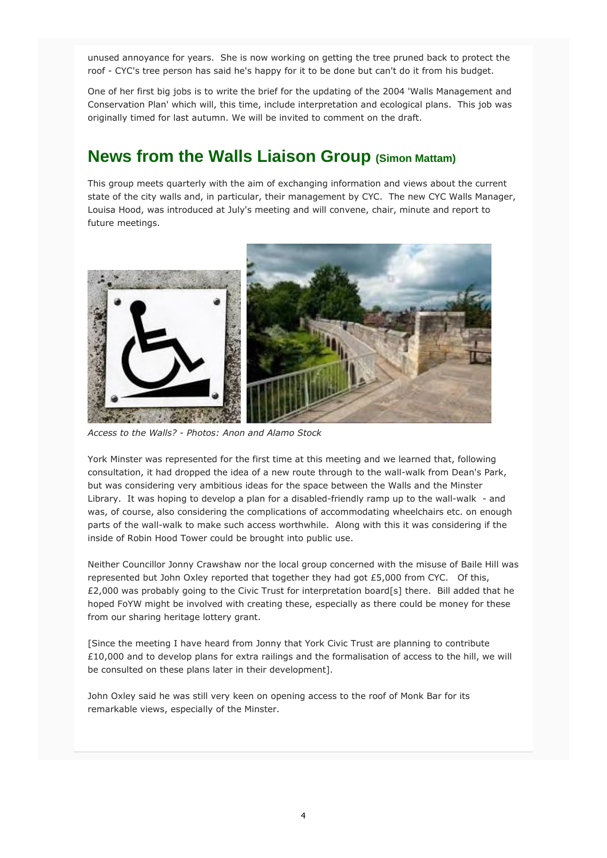unused annoyance for years. She is now working on getting the tree pruned back to protect the roof - CYC's tree person has said he's happy for it to be done but can't do it from his budget.

One of her first big jobs is to write the brief for the updating of the 2004 'Walls Management and Conservation Plan' which will, this time, include interpretation and ecological plans. This job was originally timed for last autumn. We will be invited to comment on the draft.

### **News from the Walls Liaison Group (Simon Mattam)**

This group meets quarterly with the aim of exchanging information and views about the current state of the city walls and, in particular, their management by CYC. The new CYC Walls Manager, Louisa Hood, was introduced at July's meeting and will convene, chair, minute and report to future meetings.



*Access to the Walls? - Photos: Anon and Alamo Stock*

York Minster was represented for the first time at this meeting and we learned that, following consultation, it had dropped the idea of a new route through to the wall-walk from Dean's Park, but was considering very ambitious ideas for the space between the Walls and the Minster Library. It was hoping to develop a plan for a disabled-friendly ramp up to the wall-walk - and was, of course, also considering the complications of accommodating wheelchairs etc. on enough parts of the wall-walk to make such access worthwhile. Along with this it was considering if the inside of Robin Hood Tower could be brought into public use.

Neither Councillor Jonny Crawshaw nor the local group concerned with the misuse of Baile Hill was represented but John Oxley reported that together they had got £5,000 from CYC. Of this, £2,000 was probably going to the Civic Trust for interpretation board[s] there. Bill added that he hoped FoYW might be involved with creating these, especially as there could be money for these from our sharing heritage lottery grant.

[Since the meeting I have heard from Jonny that York Civic Trust are planning to contribute £10,000 and to develop plans for extra railings and the formalisation of access to the hill, we will be consulted on these plans later in their development].

John Oxley said he was still very keen on opening access to the roof of Monk Bar for its remarkable views, especially of the Minster.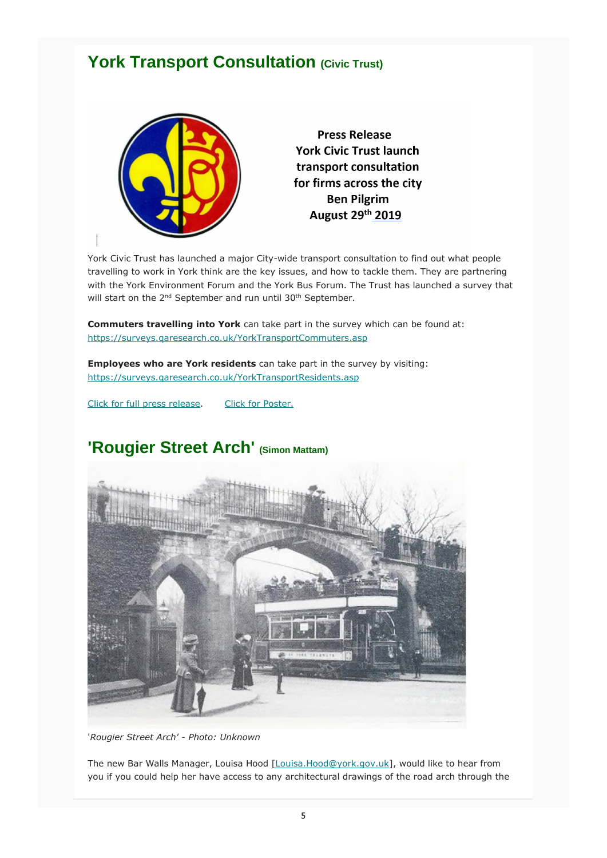### **York Transport Consultation (Civic Trust)**



**Press Release York Civic Trust launch** transport consultation for firms across the city **Ben Pilgrim** August 29th 2019

York Civic Trust has launched a major City-wide transport consultation to find out what people travelling to work in York think are the key issues, and how to tackle them. They are partnering with the York Environment Forum and the York Bus Forum. The Trust has launched a survey that will start on the 2<sup>nd</sup> September and run until 30<sup>th</sup> September.

**Commuters travelling into York** can take part in the survey which can be found at: https://surveys.qaresearch.co.uk/YorkTransportCommuters.asp

**Employees who are York residents** can take part in the survey by visiting: https://surveys.qaresearch.co.uk/YorkTransportResidents.asp

Click for full press release. Click for Poster.

## **'Rougier Street Arch' (Simon Mattam)**



'*Rougier Street Arch' - Photo: Unknown*

The new Bar Walls Manager, Louisa Hood [Louisa.Hood@york.gov.uk], would like to hear from you if you could help her have access to any architectural drawings of the road arch through the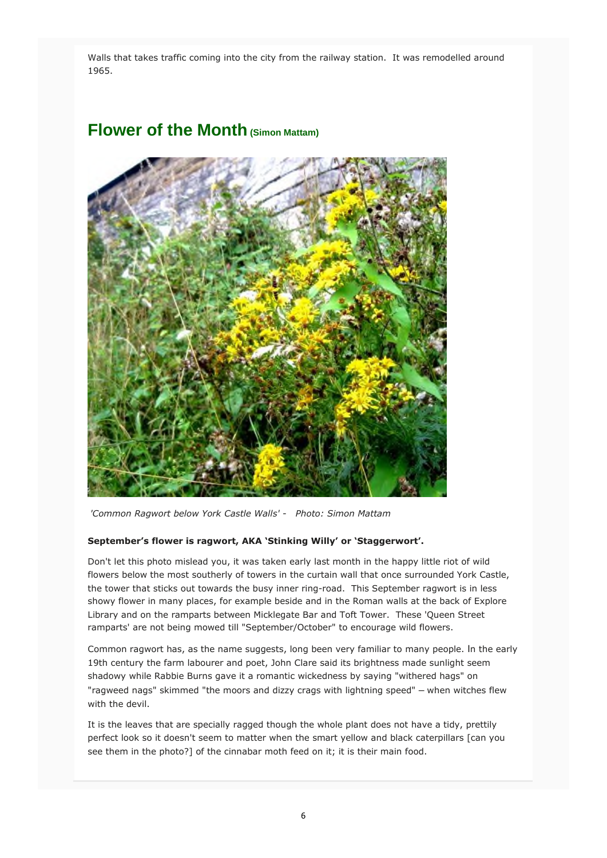Walls that takes traffic coming into the city from the railway station. It was remodelled around 1965.

#### **Flower of the Month (Simon Mattam)**



*'Common Ragwort below York Castle Walls' - Photo: Simon Mattam* 

#### **September's flower is ragwort, AKA 'Stinking Willy' or 'Staggerwort'.**

Don't let this photo mislead you, it was taken early last month in the happy little riot of wild flowers below the most southerly of towers in the curtain wall that once surrounded York Castle, the tower that sticks out towards the busy inner ring-road. This September ragwort is in less showy flower in many places, for example beside and in the Roman walls at the back of Explore Library and on the ramparts between Micklegate Bar and Toft Tower. These 'Queen Street ramparts' are not being mowed till "September/October" to encourage wild flowers.

Common ragwort has, as the name suggests, long been very familiar to many people. In the early 19th century the farm labourer and poet, John Clare said its brightness made sunlight seem shadowy while Rabbie Burns gave it a romantic wickedness by saying "withered hags" on "ragweed nags" skimmed "the moors and dizzy crags with lightning speed" – when witches flew with the devil.

It is the leaves that are specially ragged though the whole plant does not have a tidy, prettily perfect look so it doesn't seem to matter when the smart yellow and black caterpillars [can you see them in the photo?] of the cinnabar moth feed on it; it is their main food.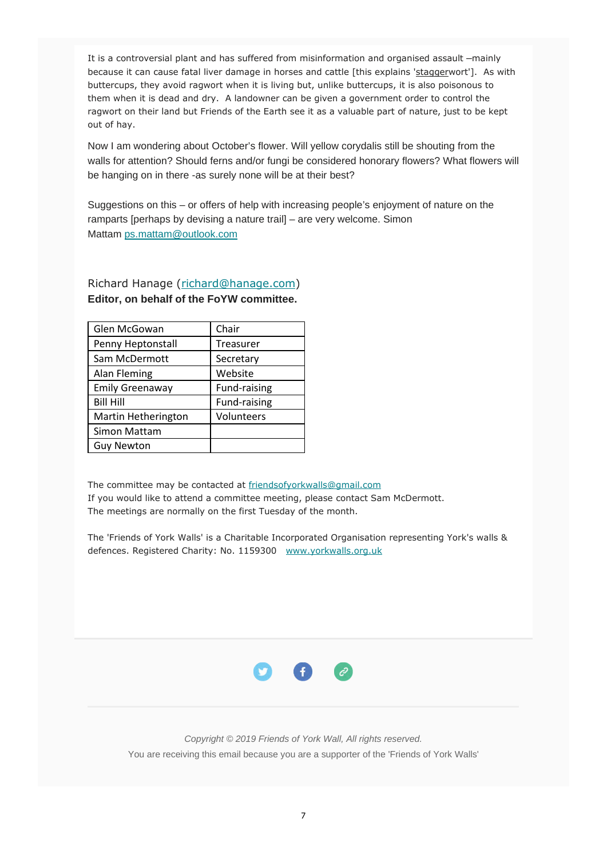It is a controversial plant and has suffered from misinformation and organised assault –mainly because it can cause fatal liver damage in horses and cattle [this explains 'staggerwort']. As with buttercups, they avoid ragwort when it is living but, unlike buttercups, it is also poisonous to them when it is dead and dry. A landowner can be given a government order to control the ragwort on their land but Friends of the Earth see it as a valuable part of nature, just to be kept out of hay.

Now I am wondering about October's flower. Will yellow corydalis still be shouting from the walls for attention? Should ferns and/or fungi be considered honorary flowers? What flowers will be hanging on in there -as surely none will be at their best?

Suggestions on this – or offers of help with increasing people's enjoyment of nature on the ramparts [perhaps by devising a nature trail] – are very welcome. Simon Mattam ps.mattam@outlook.com

| Glen McGowan           | Chair        |
|------------------------|--------------|
| Penny Heptonstall      | Treasurer    |
| Sam McDermott          | Secretary    |
| Alan Fleming           | Website      |
| <b>Emily Greenaway</b> | Fund-raising |
| <b>Bill Hill</b>       | Fund-raising |
| Martin Hetherington    | Volunteers   |
| Simon Mattam           |              |
| <b>Guy Newton</b>      |              |

#### Richard Hanage (richard@hanage.com) **Editor, on behalf of the FoYW committee.**

The committee may be contacted at friendsofyorkwalls@gmail.com If you would like to attend a committee meeting, please contact Sam McDermott. The meetings are normally on the first Tuesday of the month.

The 'Friends of York Walls' is a Charitable Incorporated Organisation representing York's walls & defences. Registered Charity: No. 1159300 www.yorkwalls.org.uk



*Copyright © 2019 Friends of York Wall, All rights reserved.* You are receiving this email because you are a supporter of the 'Friends of York Walls'